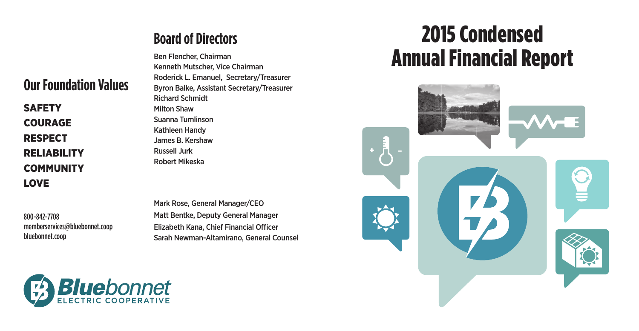# **Board of Directors**

## **Our Foundation Values**

**SAFETY** COURAGE RESPECT RELIABILITY **COMMUNITY** LOVE

Ben Flencher, Chairman Kenneth Mutscher, Vice Chairman Roderick L. Emanuel, Secretary/Treasurer Byron Balke, Assistant Secretary/Treasurer Richard Schmidt Milton Shaw Suanna Tumlinson Kathleen Handy James B. Kershaw Russell Jurk Robert Mikeska

800-842-7708 memberservices@bluebonnet.coop bluebonnet.coop

Mark Rose, General Manager/CEO Matt Bentke, Deputy General Manager Elizabeth Kana, Chief Financial Officer Sarah Newman-Altamirano, General Counsel

# 2015 Condensed Annual Financial Report